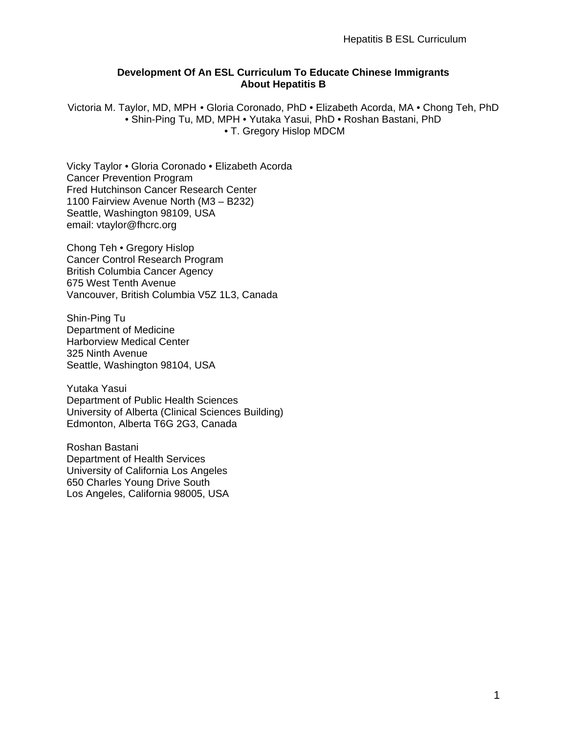## **Development Of An ESL Curriculum To Educate Chinese Immigrants About Hepatitis B**

Victoria M. Taylor, MD, MPH • Gloria Coronado, PhD • Elizabeth Acorda, MA • Chong Teh, PhD • Shin-Ping Tu, MD, MPH • Yutaka Yasui, PhD • Roshan Bastani, PhD • T. Gregory Hislop MDCM

Vicky Taylor • Gloria Coronado • Elizabeth Acorda Cancer Prevention Program Fred Hutchinson Cancer Research Center 1100 Fairview Avenue North (M3 – B232) Seattle, Washington 98109, USA email: vtaylor@fhcrc.org

Chong Teh • Gregory Hislop Cancer Control Research Program British Columbia Cancer Agency 675 West Tenth Avenue Vancouver, British Columbia V5Z 1L3, Canada

Shin-Ping Tu Department of Medicine Harborview Medical Center 325 Ninth Avenue Seattle, Washington 98104, USA

Yutaka Yasui Department of Public Health Sciences University of Alberta (Clinical Sciences Building) Edmonton, Alberta T6G 2G3, Canada

Roshan Bastani Department of Health Services University of California Los Angeles 650 Charles Young Drive South Los Angeles, California 98005, USA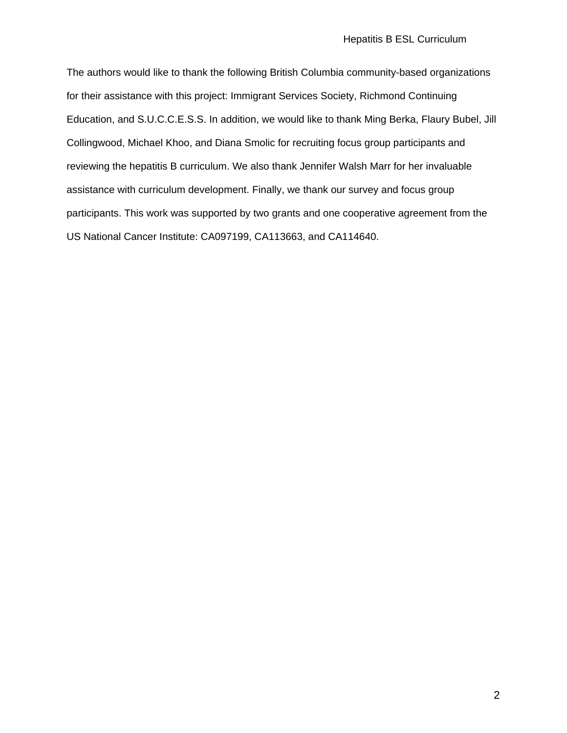The authors would like to thank the following British Columbia community-based organizations for their assistance with this project: Immigrant Services Society, Richmond Continuing Education, and S.U.C.C.E.S.S. In addition, we would like to thank Ming Berka, Flaury Bubel, Jill Collingwood, Michael Khoo, and Diana Smolic for recruiting focus group participants and reviewing the hepatitis B curriculum. We also thank Jennifer Walsh Marr for her invaluable assistance with curriculum development. Finally, we thank our survey and focus group participants. This work was supported by two grants and one cooperative agreement from the US National Cancer Institute: CA097199, CA113663, and CA114640.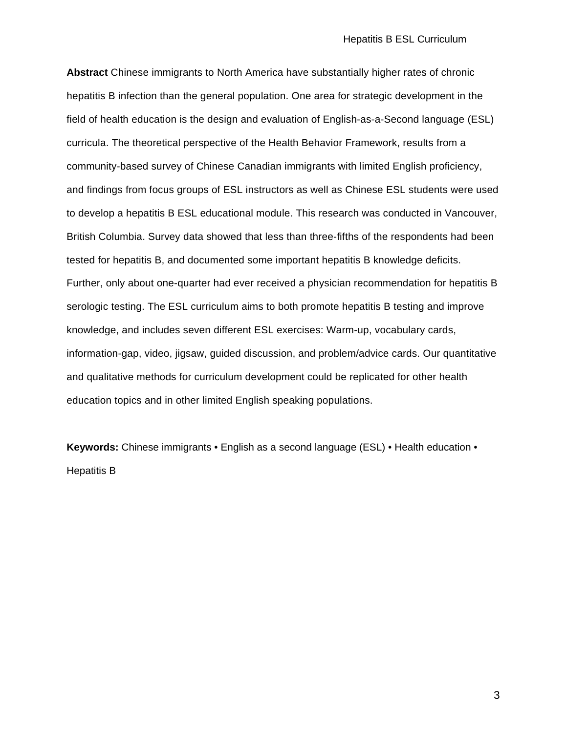**Abstract** Chinese immigrants to North America have substantially higher rates of chronic hepatitis B infection than the general population. One area for strategic development in the field of health education is the design and evaluation of English-as-a-Second language (ESL) curricula. The theoretical perspective of the Health Behavior Framework, results from a community-based survey of Chinese Canadian immigrants with limited English proficiency, and findings from focus groups of ESL instructors as well as Chinese ESL students were used to develop a hepatitis B ESL educational module. This research was conducted in Vancouver, British Columbia. Survey data showed that less than three-fifths of the respondents had been tested for hepatitis B, and documented some important hepatitis B knowledge deficits. Further, only about one-quarter had ever received a physician recommendation for hepatitis B serologic testing. The ESL curriculum aims to both promote hepatitis B testing and improve knowledge, and includes seven different ESL exercises: Warm-up, vocabulary cards, information-gap, video, jigsaw, guided discussion, and problem/advice cards. Our quantitative and qualitative methods for curriculum development could be replicated for other health education topics and in other limited English speaking populations.

**Keywords:** Chinese immigrants • English as a second language (ESL) • Health education • Hepatitis B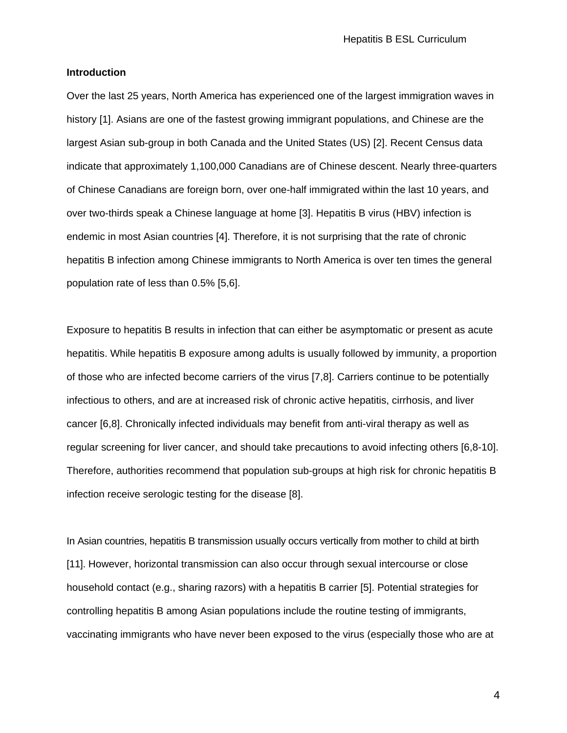## **Introduction**

Over the last 25 years, North America has experienced one of the largest immigration waves in history [1]. Asians are one of the fastest growing immigrant populations, and Chinese are the largest Asian sub-group in both Canada and the United States (US) [2]. Recent Census data indicate that approximately 1,100,000 Canadians are of Chinese descent. Nearly three-quarters of Chinese Canadians are foreign born, over one-half immigrated within the last 10 years, and over two-thirds speak a Chinese language at home [3]. Hepatitis B virus (HBV) infection is endemic in most Asian countries [4]. Therefore, it is not surprising that the rate of chronic hepatitis B infection among Chinese immigrants to North America is over ten times the general population rate of less than 0.5% [5,6].

Exposure to hepatitis B results in infection that can either be asymptomatic or present as acute hepatitis. While hepatitis B exposure among adults is usually followed by immunity, a proportion of those who are infected become carriers of the virus [7,8]. Carriers continue to be potentially infectious to others, and are at increased risk of chronic active hepatitis, cirrhosis, and liver cancer [6,8]. Chronically infected individuals may benefit from anti-viral therapy as well as regular screening for liver cancer, and should take precautions to avoid infecting others [6,8-10]. Therefore, authorities recommend that population sub-groups at high risk for chronic hepatitis B infection receive serologic testing for the disease [8].

In Asian countries, hepatitis B transmission usually occurs vertically from mother to child at birth [11]. However, horizontal transmission can also occur through sexual intercourse or close household contact (e.g., sharing razors) with a hepatitis B carrier [5]. Potential strategies for controlling hepatitis B among Asian populations include the routine testing of immigrants, vaccinating immigrants who have never been exposed to the virus (especially those who are at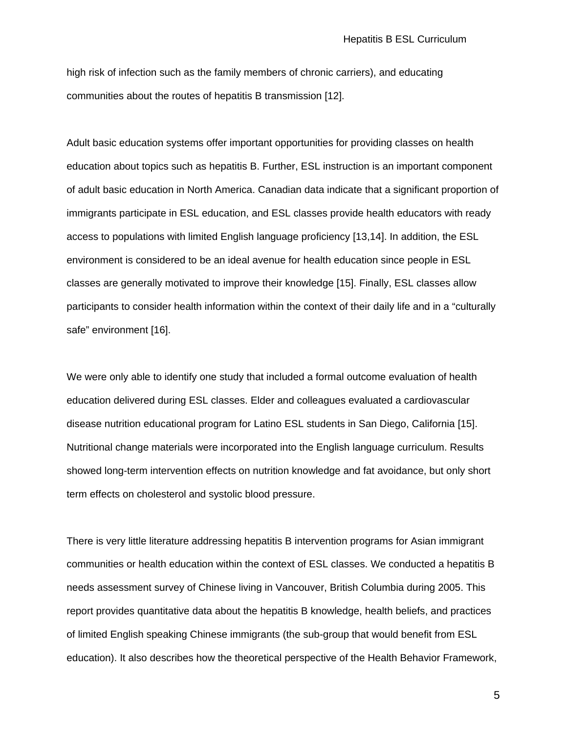high risk of infection such as the family members of chronic carriers), and educating communities about the routes of hepatitis B transmission [12].

Adult basic education systems offer important opportunities for providing classes on health education about topics such as hepatitis B. Further, ESL instruction is an important component of adult basic education in North America. Canadian data indicate that a significant proportion of immigrants participate in ESL education, and ESL classes provide health educators with ready access to populations with limited English language proficiency [13,14]. In addition, the ESL environment is considered to be an ideal avenue for health education since people in ESL classes are generally motivated to improve their knowledge [15]. Finally, ESL classes allow participants to consider health information within the context of their daily life and in a "culturally safe" environment [16].

We were only able to identify one study that included a formal outcome evaluation of health education delivered during ESL classes. Elder and colleagues evaluated a cardiovascular disease nutrition educational program for Latino ESL students in San Diego, California [15]. Nutritional change materials were incorporated into the English language curriculum. Results showed long-term intervention effects on nutrition knowledge and fat avoidance, but only short term effects on cholesterol and systolic blood pressure.

There is very little literature addressing hepatitis B intervention programs for Asian immigrant communities or health education within the context of ESL classes. We conducted a hepatitis B needs assessment survey of Chinese living in Vancouver, British Columbia during 2005. This report provides quantitative data about the hepatitis B knowledge, health beliefs, and practices of limited English speaking Chinese immigrants (the sub-group that would benefit from ESL education). It also describes how the theoretical perspective of the Health Behavior Framework,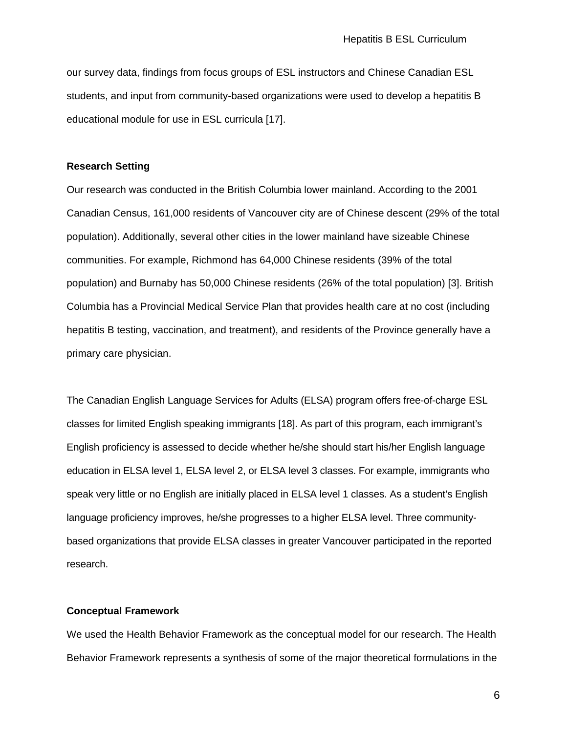our survey data, findings from focus groups of ESL instructors and Chinese Canadian ESL students, and input from community-based organizations were used to develop a hepatitis B educational module for use in ESL curricula [17].

## **Research Setting**

Our research was conducted in the British Columbia lower mainland. According to the 2001 Canadian Census, 161,000 residents of Vancouver city are of Chinese descent (29% of the total population). Additionally, several other cities in the lower mainland have sizeable Chinese communities. For example, Richmond has 64,000 Chinese residents (39% of the total population) and Burnaby has 50,000 Chinese residents (26% of the total population) [3]. British Columbia has a Provincial Medical Service Plan that provides health care at no cost (including hepatitis B testing, vaccination, and treatment), and residents of the Province generally have a primary care physician.

The Canadian English Language Services for Adults (ELSA) program offers free-of-charge ESL classes for limited English speaking immigrants [18]. As part of this program, each immigrant's English proficiency is assessed to decide whether he/she should start his/her English language education in ELSA level 1, ELSA level 2, or ELSA level 3 classes. For example, immigrants who speak very little or no English are initially placed in ELSA level 1 classes. As a student's English language proficiency improves, he/she progresses to a higher ELSA level. Three communitybased organizations that provide ELSA classes in greater Vancouver participated in the reported research.

### **Conceptual Framework**

We used the Health Behavior Framework as the conceptual model for our research. The Health Behavior Framework represents a synthesis of some of the major theoretical formulations in the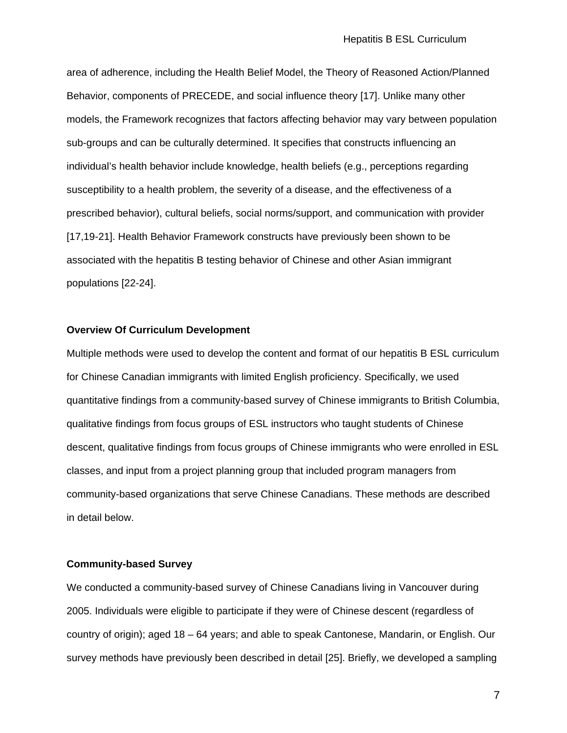area of adherence, including the Health Belief Model, the Theory of Reasoned Action/Planned Behavior, components of PRECEDE, and social influence theory [17]. Unlike many other models, the Framework recognizes that factors affecting behavior may vary between population sub-groups and can be culturally determined. It specifies that constructs influencing an individual's health behavior include knowledge, health beliefs (e.g., perceptions regarding susceptibility to a health problem, the severity of a disease, and the effectiveness of a prescribed behavior), cultural beliefs, social norms/support, and communication with provider [17,19-21]. Health Behavior Framework constructs have previously been shown to be associated with the hepatitis B testing behavior of Chinese and other Asian immigrant populations [22-24].

### **Overview Of Curriculum Development**

Multiple methods were used to develop the content and format of our hepatitis B ESL curriculum for Chinese Canadian immigrants with limited English proficiency. Specifically, we used quantitative findings from a community-based survey of Chinese immigrants to British Columbia, qualitative findings from focus groups of ESL instructors who taught students of Chinese descent, qualitative findings from focus groups of Chinese immigrants who were enrolled in ESL classes, and input from a project planning group that included program managers from community-based organizations that serve Chinese Canadians. These methods are described in detail below.

### **Community-based Survey**

We conducted a community-based survey of Chinese Canadians living in Vancouver during 2005. Individuals were eligible to participate if they were of Chinese descent (regardless of country of origin); aged 18 – 64 years; and able to speak Cantonese, Mandarin, or English. Our survey methods have previously been described in detail [25]. Briefly, we developed a sampling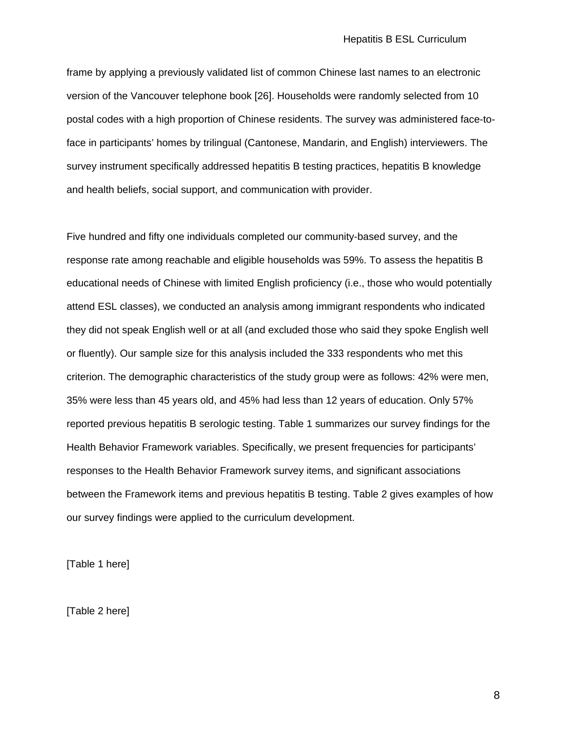frame by applying a previously validated list of common Chinese last names to an electronic version of the Vancouver telephone book [26]. Households were randomly selected from 10 postal codes with a high proportion of Chinese residents. The survey was administered face-toface in participants' homes by trilingual (Cantonese, Mandarin, and English) interviewers. The survey instrument specifically addressed hepatitis B testing practices, hepatitis B knowledge and health beliefs, social support, and communication with provider.

Five hundred and fifty one individuals completed our community-based survey, and the response rate among reachable and eligible households was 59%. To assess the hepatitis B educational needs of Chinese with limited English proficiency (i.e., those who would potentially attend ESL classes), we conducted an analysis among immigrant respondents who indicated they did not speak English well or at all (and excluded those who said they spoke English well or fluently). Our sample size for this analysis included the 333 respondents who met this criterion. The demographic characteristics of the study group were as follows: 42% were men, 35% were less than 45 years old, and 45% had less than 12 years of education. Only 57% reported previous hepatitis B serologic testing. Table 1 summarizes our survey findings for the Health Behavior Framework variables. Specifically, we present frequencies for participants' responses to the Health Behavior Framework survey items, and significant associations between the Framework items and previous hepatitis B testing. Table 2 gives examples of how our survey findings were applied to the curriculum development.

[Table 1 here]

[Table 2 here]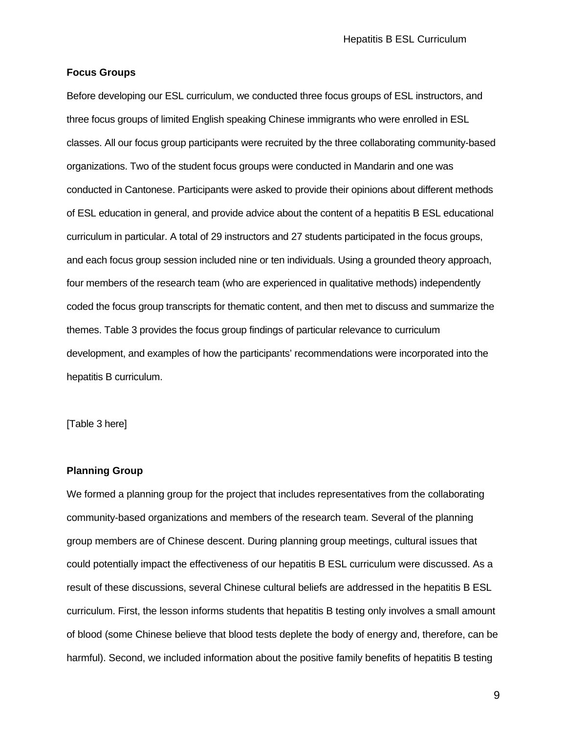## **Focus Groups**

Before developing our ESL curriculum, we conducted three focus groups of ESL instructors, and three focus groups of limited English speaking Chinese immigrants who were enrolled in ESL classes. All our focus group participants were recruited by the three collaborating community-based organizations. Two of the student focus groups were conducted in Mandarin and one was conducted in Cantonese. Participants were asked to provide their opinions about different methods of ESL education in general, and provide advice about the content of a hepatitis B ESL educational curriculum in particular. A total of 29 instructors and 27 students participated in the focus groups, and each focus group session included nine or ten individuals. Using a grounded theory approach, four members of the research team (who are experienced in qualitative methods) independently coded the focus group transcripts for thematic content, and then met to discuss and summarize the themes. Table 3 provides the focus group findings of particular relevance to curriculum development, and examples of how the participants' recommendations were incorporated into the hepatitis B curriculum.

[Table 3 here]

### **Planning Group**

We formed a planning group for the project that includes representatives from the collaborating community-based organizations and members of the research team. Several of the planning group members are of Chinese descent. During planning group meetings, cultural issues that could potentially impact the effectiveness of our hepatitis B ESL curriculum were discussed. As a result of these discussions, several Chinese cultural beliefs are addressed in the hepatitis B ESL curriculum. First, the lesson informs students that hepatitis B testing only involves a small amount of blood (some Chinese believe that blood tests deplete the body of energy and, therefore, can be harmful). Second, we included information about the positive family benefits of hepatitis B testing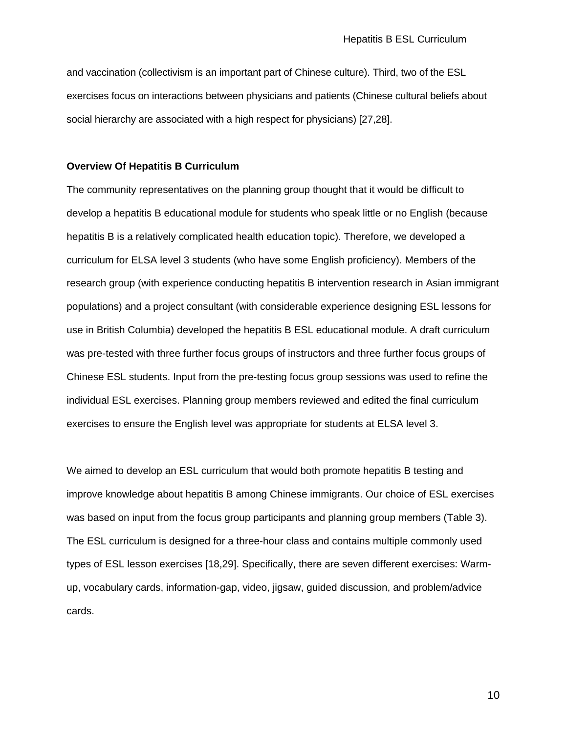and vaccination (collectivism is an important part of Chinese culture). Third, two of the ESL exercises focus on interactions between physicians and patients (Chinese cultural beliefs about social hierarchy are associated with a high respect for physicians) [27,28].

### **Overview Of Hepatitis B Curriculum**

The community representatives on the planning group thought that it would be difficult to develop a hepatitis B educational module for students who speak little or no English (because hepatitis B is a relatively complicated health education topic). Therefore, we developed a curriculum for ELSA level 3 students (who have some English proficiency). Members of the research group (with experience conducting hepatitis B intervention research in Asian immigrant populations) and a project consultant (with considerable experience designing ESL lessons for use in British Columbia) developed the hepatitis B ESL educational module. A draft curriculum was pre-tested with three further focus groups of instructors and three further focus groups of Chinese ESL students. Input from the pre-testing focus group sessions was used to refine the individual ESL exercises. Planning group members reviewed and edited the final curriculum exercises to ensure the English level was appropriate for students at ELSA level 3.

We aimed to develop an ESL curriculum that would both promote hepatitis B testing and improve knowledge about hepatitis B among Chinese immigrants. Our choice of ESL exercises was based on input from the focus group participants and planning group members (Table 3). The ESL curriculum is designed for a three-hour class and contains multiple commonly used types of ESL lesson exercises [18,29]. Specifically, there are seven different exercises: Warmup, vocabulary cards, information-gap, video, jigsaw, guided discussion, and problem/advice cards.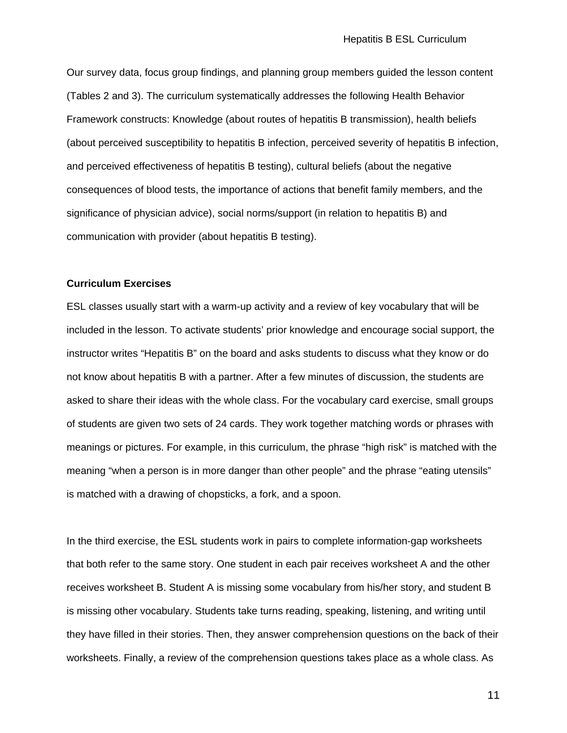Our survey data, focus group findings, and planning group members guided the lesson content (Tables 2 and 3). The curriculum systematically addresses the following Health Behavior Framework constructs: Knowledge (about routes of hepatitis B transmission), health beliefs (about perceived susceptibility to hepatitis B infection, perceived severity of hepatitis B infection, and perceived effectiveness of hepatitis B testing), cultural beliefs (about the negative consequences of blood tests, the importance of actions that benefit family members, and the significance of physician advice), social norms/support (in relation to hepatitis B) and communication with provider (about hepatitis B testing).

### **Curriculum Exercises**

ESL classes usually start with a warm-up activity and a review of key vocabulary that will be included in the lesson. To activate students' prior knowledge and encourage social support, the instructor writes "Hepatitis B" on the board and asks students to discuss what they know or do not know about hepatitis B with a partner. After a few minutes of discussion, the students are asked to share their ideas with the whole class. For the vocabulary card exercise, small groups of students are given two sets of 24 cards. They work together matching words or phrases with meanings or pictures. For example, in this curriculum, the phrase "high risk" is matched with the meaning "when a person is in more danger than other people" and the phrase "eating utensils" is matched with a drawing of chopsticks, a fork, and a spoon.

In the third exercise, the ESL students work in pairs to complete information-gap worksheets that both refer to the same story. One student in each pair receives worksheet A and the other receives worksheet B. Student A is missing some vocabulary from his/her story, and student B is missing other vocabulary. Students take turns reading, speaking, listening, and writing until they have filled in their stories. Then, they answer comprehension questions on the back of their worksheets. Finally, a review of the comprehension questions takes place as a whole class. As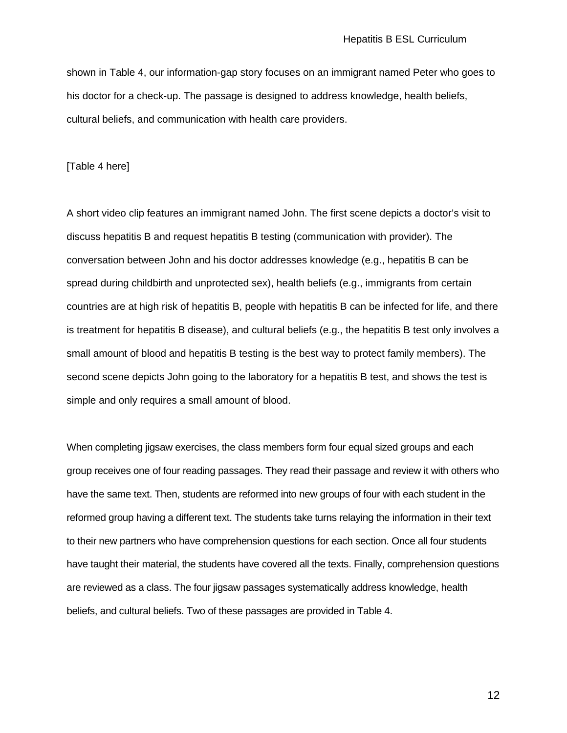shown in Table 4, our information-gap story focuses on an immigrant named Peter who goes to his doctor for a check-up. The passage is designed to address knowledge, health beliefs, cultural beliefs, and communication with health care providers.

#### [Table 4 here]

A short video clip features an immigrant named John. The first scene depicts a doctor's visit to discuss hepatitis B and request hepatitis B testing (communication with provider). The conversation between John and his doctor addresses knowledge (e.g., hepatitis B can be spread during childbirth and unprotected sex), health beliefs (e.g., immigrants from certain countries are at high risk of hepatitis B, people with hepatitis B can be infected for life, and there is treatment for hepatitis B disease), and cultural beliefs (e.g., the hepatitis B test only involves a small amount of blood and hepatitis B testing is the best way to protect family members). The second scene depicts John going to the laboratory for a hepatitis B test, and shows the test is simple and only requires a small amount of blood.

When completing jigsaw exercises, the class members form four equal sized groups and each group receives one of four reading passages. They read their passage and review it with others who have the same text. Then, students are reformed into new groups of four with each student in the reformed group having a different text. The students take turns relaying the information in their text to their new partners who have comprehension questions for each section. Once all four students have taught their material, the students have covered all the texts. Finally, comprehension questions are reviewed as a class. The four jigsaw passages systematically address knowledge, health beliefs, and cultural beliefs. Two of these passages are provided in Table 4.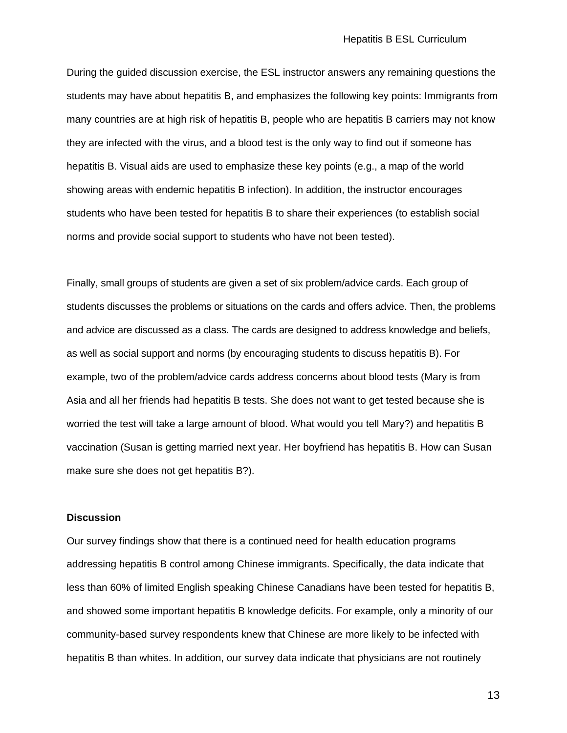During the guided discussion exercise, the ESL instructor answers any remaining questions the students may have about hepatitis B, and emphasizes the following key points: Immigrants from many countries are at high risk of hepatitis B, people who are hepatitis B carriers may not know they are infected with the virus, and a blood test is the only way to find out if someone has hepatitis B. Visual aids are used to emphasize these key points (e.g., a map of the world showing areas with endemic hepatitis B infection). In addition, the instructor encourages students who have been tested for hepatitis B to share their experiences (to establish social norms and provide social support to students who have not been tested).

Finally, small groups of students are given a set of six problem/advice cards. Each group of students discusses the problems or situations on the cards and offers advice. Then, the problems and advice are discussed as a class. The cards are designed to address knowledge and beliefs, as well as social support and norms (by encouraging students to discuss hepatitis B). For example, two of the problem/advice cards address concerns about blood tests (Mary is from Asia and all her friends had hepatitis B tests. She does not want to get tested because she is worried the test will take a large amount of blood. What would you tell Mary?) and hepatitis B vaccination (Susan is getting married next year. Her boyfriend has hepatitis B. How can Susan make sure she does not get hepatitis B?).

### **Discussion**

Our survey findings show that there is a continued need for health education programs addressing hepatitis B control among Chinese immigrants. Specifically, the data indicate that less than 60% of limited English speaking Chinese Canadians have been tested for hepatitis B, and showed some important hepatitis B knowledge deficits. For example, only a minority of our community-based survey respondents knew that Chinese are more likely to be infected with hepatitis B than whites. In addition, our survey data indicate that physicians are not routinely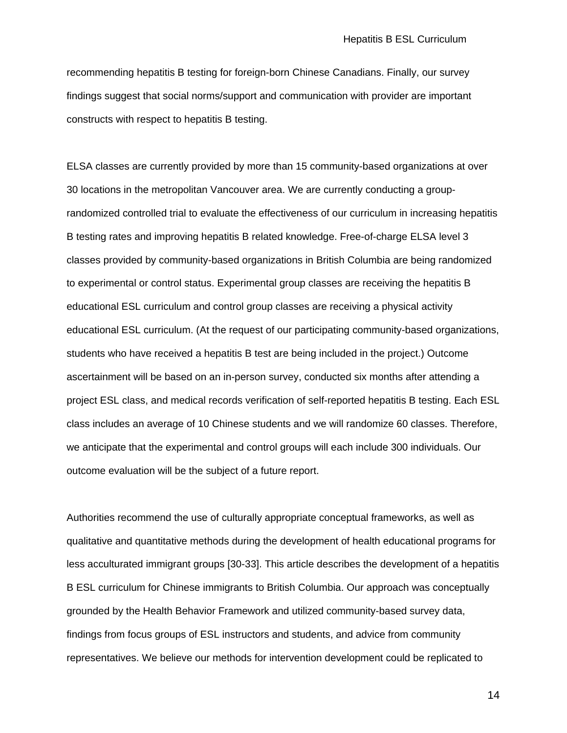recommending hepatitis B testing for foreign-born Chinese Canadians. Finally, our survey findings suggest that social norms/support and communication with provider are important constructs with respect to hepatitis B testing.

ELSA classes are currently provided by more than 15 community-based organizations at over 30 locations in the metropolitan Vancouver area. We are currently conducting a grouprandomized controlled trial to evaluate the effectiveness of our curriculum in increasing hepatitis B testing rates and improving hepatitis B related knowledge. Free-of-charge ELSA level 3 classes provided by community-based organizations in British Columbia are being randomized to experimental or control status. Experimental group classes are receiving the hepatitis B educational ESL curriculum and control group classes are receiving a physical activity educational ESL curriculum. (At the request of our participating community-based organizations, students who have received a hepatitis B test are being included in the project.) Outcome ascertainment will be based on an in-person survey, conducted six months after attending a project ESL class, and medical records verification of self-reported hepatitis B testing. Each ESL class includes an average of 10 Chinese students and we will randomize 60 classes. Therefore, we anticipate that the experimental and control groups will each include 300 individuals. Our outcome evaluation will be the subject of a future report.

Authorities recommend the use of culturally appropriate conceptual frameworks, as well as qualitative and quantitative methods during the development of health educational programs for less acculturated immigrant groups [30-33]. This article describes the development of a hepatitis B ESL curriculum for Chinese immigrants to British Columbia. Our approach was conceptually grounded by the Health Behavior Framework and utilized community-based survey data, findings from focus groups of ESL instructors and students, and advice from community representatives. We believe our methods for intervention development could be replicated to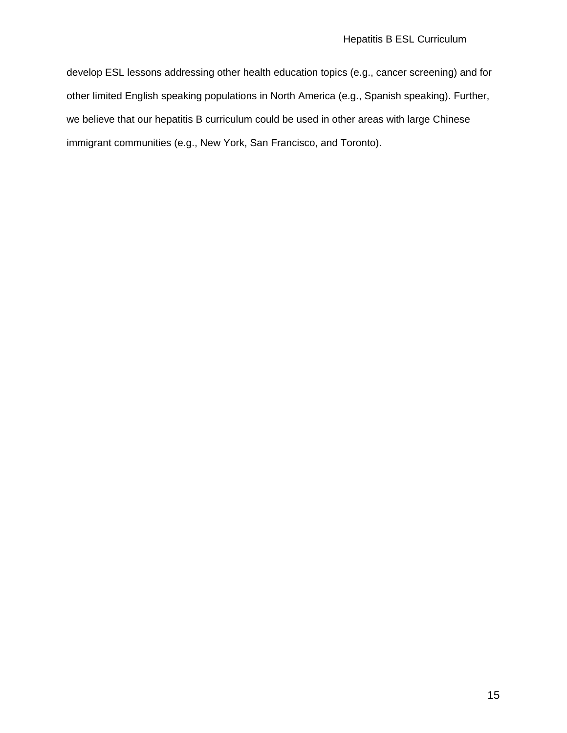develop ESL lessons addressing other health education topics (e.g., cancer screening) and for other limited English speaking populations in North America (e.g., Spanish speaking). Further, we believe that our hepatitis B curriculum could be used in other areas with large Chinese immigrant communities (e.g., New York, San Francisco, and Toronto).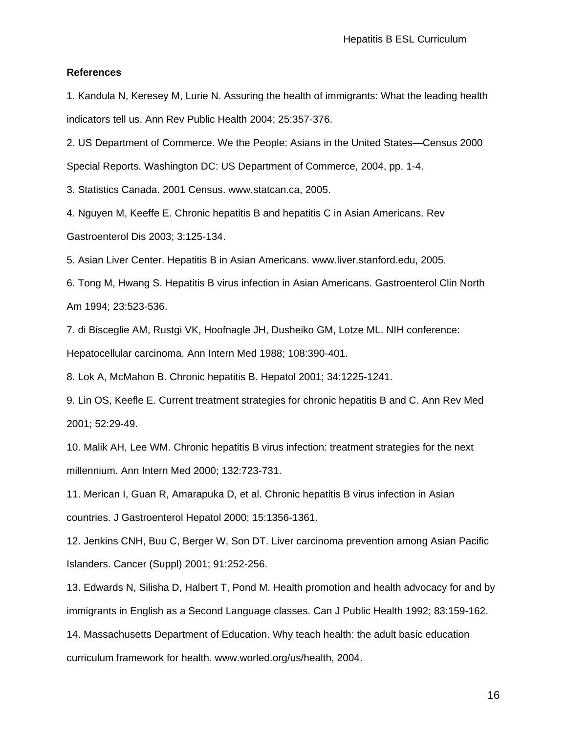### **References**

1. Kandula N, Keresey M, Lurie N. Assuring the health of immigrants: What the leading health indicators tell us. Ann Rev Public Health 2004; 25:357-376.

2. US Department of Commerce. We the People: Asians in the United States—Census 2000 Special Reports. Washington DC: US Department of Commerce, 2004, pp. 1-4.

3. Statistics Canada. 2001 Census. www.statcan.ca, 2005.

4. Nguyen M, Keeffe E. Chronic hepatitis B and hepatitis C in Asian Americans. Rev Gastroenterol Dis 2003; 3:125-134.

5. Asian Liver Center. Hepatitis B in Asian Americans. www.liver.stanford.edu, 2005.

6. Tong M, Hwang S. Hepatitis B virus infection in Asian Americans. Gastroenterol Clin North Am 1994; 23:523-536.

7. di Bisceglie AM, Rustgi VK, Hoofnagle JH, Dusheiko GM, Lotze ML. NIH conference: Hepatocellular carcinoma. Ann Intern Med 1988; 108:390-401.

8. Lok A, McMahon B. Chronic hepatitis B. Hepatol 2001; 34:1225-1241.

9. Lin OS, Keefle E. Current treatment strategies for chronic hepatitis B and C. Ann Rev Med 2001; 52:29-49.

10. Malik AH, Lee WM. Chronic hepatitis B virus infection: treatment strategies for the next millennium. Ann Intern Med 2000; 132:723-731.

11. Merican I, Guan R, Amarapuka D, et al. Chronic hepatitis B virus infection in Asian countries. J Gastroenterol Hepatol 2000; 15:1356-1361.

12. Jenkins CNH, Buu C, Berger W, Son DT. Liver carcinoma prevention among Asian Pacific Islanders. Cancer (Suppl) 2001; 91:252-256.

13. Edwards N, Silisha D, Halbert T, Pond M. Health promotion and health advocacy for and by immigrants in English as a Second Language classes. Can J Public Health 1992; 83:159-162.

14. Massachusetts Department of Education. Why teach health: the adult basic education curriculum framework for health. www.worled.org/us/health, 2004.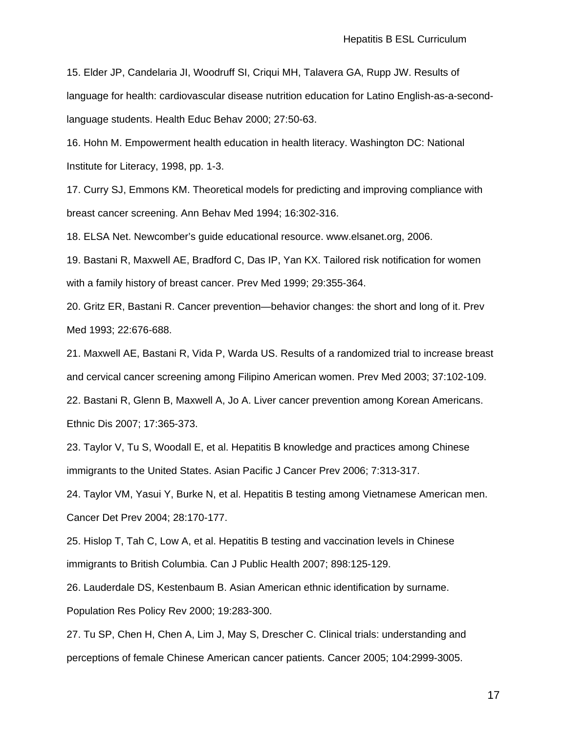15. Elder JP, Candelaria JI, Woodruff SI, Criqui MH, Talavera GA, Rupp JW. Results of language for health: cardiovascular disease nutrition education for Latino English-as-a-secondlanguage students. Health Educ Behav 2000; 27:50-63.

16. Hohn M. Empowerment health education in health literacy. Washington DC: National Institute for Literacy, 1998, pp. 1-3.

17. Curry SJ, Emmons KM. Theoretical models for predicting and improving compliance with breast cancer screening. Ann Behav Med 1994; 16:302-316.

18. ELSA Net. Newcomber's guide educational resource. www.elsanet.org, 2006.

19. Bastani R, Maxwell AE, Bradford C, Das IP, Yan KX. Tailored risk notification for women with a family history of breast cancer. Prev Med 1999; 29:355-364.

20. Gritz ER, Bastani R. Cancer prevention—behavior changes: the short and long of it. Prev Med 1993; 22:676-688.

21. Maxwell AE, Bastani R, Vida P, Warda US. Results of a randomized trial to increase breast and cervical cancer screening among Filipino American women. Prev Med 2003; 37:102-109.

22. Bastani R, Glenn B, Maxwell A, Jo A. Liver cancer prevention among Korean Americans. Ethnic Dis 2007; 17:365-373.

23. Taylor V, Tu S, Woodall E, et al. Hepatitis B knowledge and practices among Chinese immigrants to the United States. Asian Pacific J Cancer Prev 2006; 7:313-317.

24. Taylor VM, Yasui Y, Burke N, et al. Hepatitis B testing among Vietnamese American men. Cancer Det Prev 2004; 28:170-177.

25. Hislop T, Tah C, Low A, et al. Hepatitis B testing and vaccination levels in Chinese immigrants to British Columbia. Can J Public Health 2007; 898:125-129.

26. Lauderdale DS, Kestenbaum B. Asian American ethnic identification by surname. Population Res Policy Rev 2000; 19:283-300.

27. Tu SP, Chen H, Chen A, Lim J, May S, Drescher C. Clinical trials: understanding and perceptions of female Chinese American cancer patients. Cancer 2005; 104:2999-3005.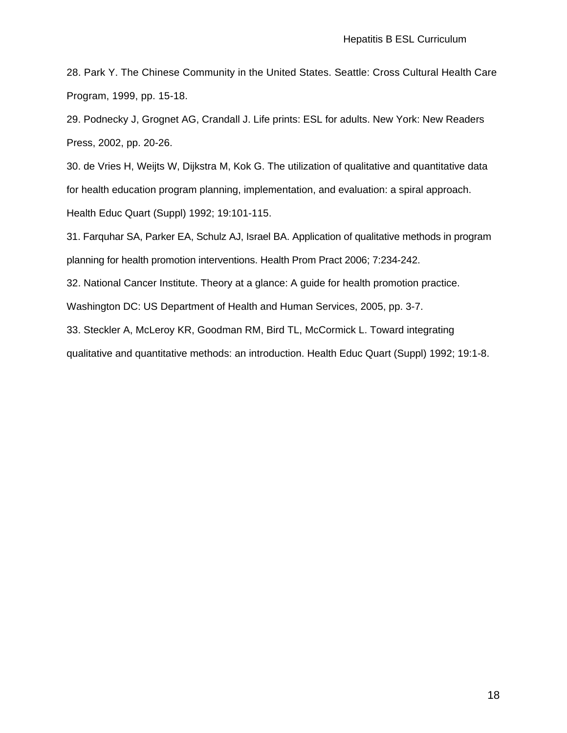28. Park Y. The Chinese Community in the United States. Seattle: Cross Cultural Health Care Program, 1999, pp. 15-18.

29. Podnecky J, Grognet AG, Crandall J. Life prints: ESL for adults. New York: New Readers Press, 2002, pp. 20-26.

30. de Vries H, Weijts W, Dijkstra M, Kok G. The utilization of qualitative and quantitative data for health education program planning, implementation, and evaluation: a spiral approach. Health Educ Quart (Suppl) 1992; 19:101-115.

31. Farquhar SA, Parker EA, Schulz AJ, Israel BA. Application of qualitative methods in program planning for health promotion interventions. Health Prom Pract 2006; 7:234-242.

32. National Cancer Institute. Theory at a glance: A guide for health promotion practice.

Washington DC: US Department of Health and Human Services, 2005, pp. 3-7.

33. Steckler A, McLeroy KR, Goodman RM, Bird TL, McCormick L. Toward integrating

qualitative and quantitative methods: an introduction. Health Educ Quart (Suppl) 1992; 19:1-8.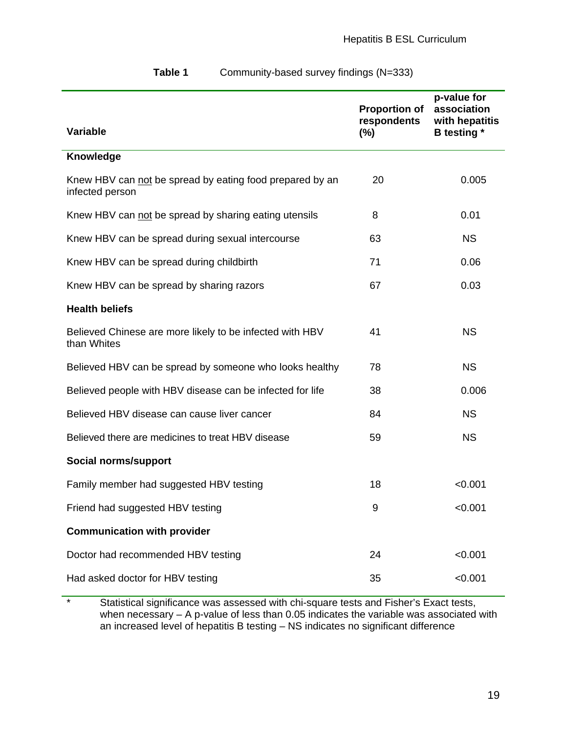| Variable                                                                    | <b>Proportion of</b><br>respondents<br>$(\%)$ | p-value for<br>association<br>with hepatitis<br>B testing * |
|-----------------------------------------------------------------------------|-----------------------------------------------|-------------------------------------------------------------|
| Knowledge                                                                   |                                               |                                                             |
| Knew HBV can not be spread by eating food prepared by an<br>infected person | 20                                            | 0.005                                                       |
| Knew HBV can not be spread by sharing eating utensils                       | 8                                             | 0.01                                                        |
| Knew HBV can be spread during sexual intercourse                            | 63                                            | <b>NS</b>                                                   |
| Knew HBV can be spread during childbirth                                    | 71                                            | 0.06                                                        |
| Knew HBV can be spread by sharing razors                                    | 67                                            | 0.03                                                        |
| <b>Health beliefs</b>                                                       |                                               |                                                             |
| Believed Chinese are more likely to be infected with HBV<br>than Whites     | 41                                            | <b>NS</b>                                                   |
| Believed HBV can be spread by someone who looks healthy                     | 78                                            | <b>NS</b>                                                   |
| Believed people with HBV disease can be infected for life                   | 38                                            | 0.006                                                       |
| Believed HBV disease can cause liver cancer                                 | 84                                            | <b>NS</b>                                                   |
| Believed there are medicines to treat HBV disease                           | 59                                            | <b>NS</b>                                                   |
| Social norms/support                                                        |                                               |                                                             |
| Family member had suggested HBV testing                                     | 18                                            | < 0.001                                                     |
| Friend had suggested HBV testing                                            | 9                                             | < 0.001                                                     |
| <b>Communication with provider</b>                                          |                                               |                                                             |
| Doctor had recommended HBV testing                                          | 24                                            | < 0.001                                                     |
| Had asked doctor for HBV testing                                            | 35                                            | < 0.001                                                     |

# **Table 1** Community-based survey findings (N=333)

\* Statistical significance was assessed with chi-square tests and Fisher's Exact tests, when necessary – A p-value of less than 0.05 indicates the variable was associated with an increased level of hepatitis B testing – NS indicates no significant difference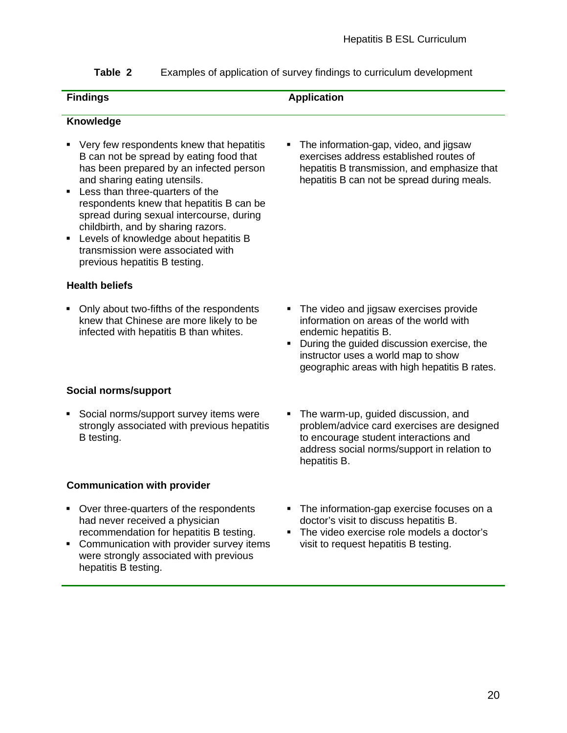**Table 2** Examples of application of survey findings to curriculum development

| <b>Findings</b> | <b>Application</b> |
|-----------------|--------------------|

# **Knowledge**

- **Very few respondents knew that hepatitis** B can not be spread by eating food that has been prepared by an infected person and sharing eating utensils.
- **Less than three-quarters of the** respondents knew that hepatitis B can be spread during sexual intercourse, during childbirth, and by sharing razors.
- **EXECT** Levels of knowledge about hepatitis B transmission were associated with previous hepatitis B testing.

# **Health beliefs**

• Only about two-fifths of the respondents knew that Chinese are more likely to be infected with hepatitis B than whites.

# **Social norms/support**

**Social norms/support survey items were** strongly associated with previous hepatitis B testing.

# **Communication with provider**

- Over three-quarters of the respondents had never received a physician recommendation for hepatitis B testing.
- **Communication with provider survey items** were strongly associated with previous hepatitis B testing.

**The information-gap, video, and jigsaw** exercises address established routes of hepatitis B transmission, and emphasize that hepatitis B can not be spread during meals.

- **The video and jigsaw exercises provide** information on areas of the world with endemic hepatitis B.
- **During the quided discussion exercise, the** instructor uses a world map to show geographic areas with high hepatitis B rates.
- The warm-up, guided discussion, and problem/advice card exercises are designed to encourage student interactions and address social norms/support in relation to hepatitis B.
- The information-gap exercise focuses on a doctor's visit to discuss hepatitis B.
- The video exercise role models a doctor's visit to request hepatitis B testing.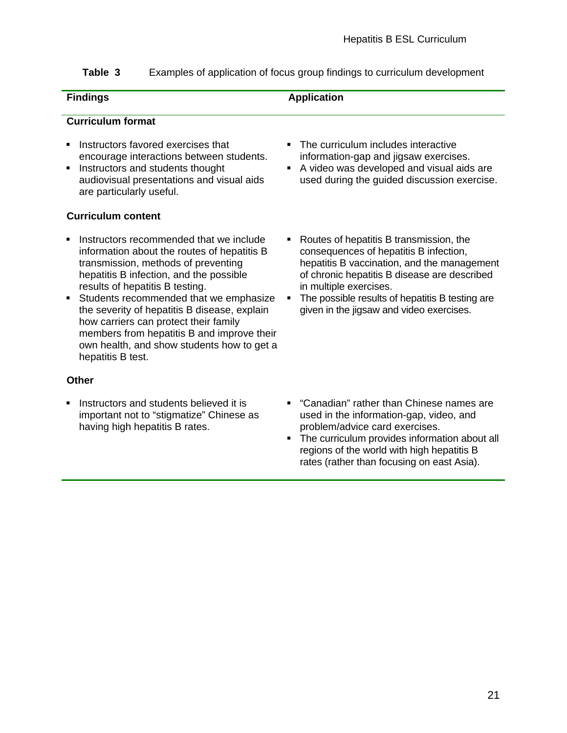**Table 3** Examples of application of focus group findings to curriculum development

| <b>Findings</b> | <b>Application</b> |
|-----------------|--------------------|

# **Curriculum format**

- **Instructors favored exercises that** encourage interactions between students.
- **Instructors and students thought** audiovisual presentations and visual aids are particularly useful.

# **Curriculum content**

- **Instructors recommended that we include** information about the routes of hepatitis B transmission, methods of preventing hepatitis B infection, and the possible results of hepatitis B testing.
- **Students recommended that we emphasize** the severity of hepatitis B disease, explain how carriers can protect their family members from hepatitis B and improve their own health, and show students how to get a hepatitis B test.

## **Other**

**Instructors and students believed it is** important not to "stigmatize" Chinese as having high hepatitis B rates.

- The curriculum includes interactive information-gap and jigsaw exercises.
- A video was developed and visual aids are used during the guided discussion exercise.
- Routes of hepatitis B transmission, the consequences of hepatitis B infection, hepatitis B vaccination, and the management of chronic hepatitis B disease are described in multiple exercises.
- The possible results of hepatitis B testing are given in the jigsaw and video exercises.

- "Canadian" rather than Chinese names are used in the information-gap, video, and problem/advice card exercises.
- The curriculum provides information about all regions of the world with high hepatitis B rates (rather than focusing on east Asia).